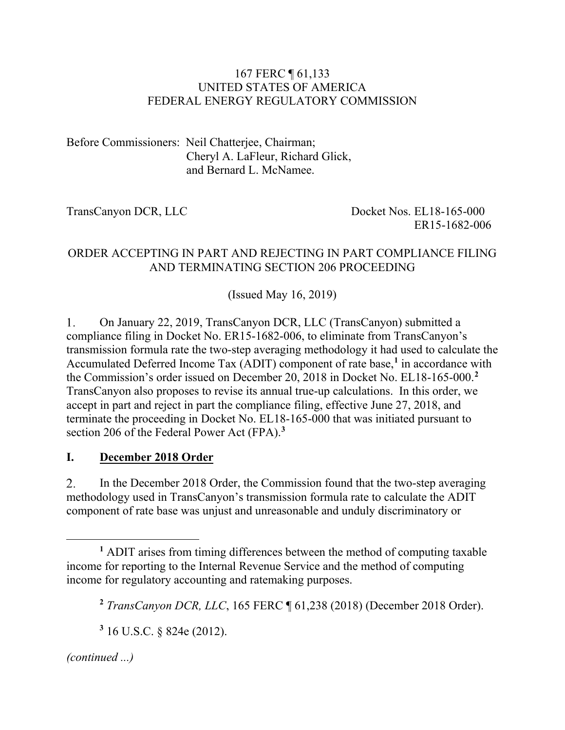### 167 FERC ¶ 61,133 UNITED STATES OF AMERICA FEDERAL ENERGY REGULATORY COMMISSION

Before Commissioners: Neil Chatterjee, Chairman; Cheryl A. LaFleur, Richard Glick, and Bernard L. McNamee.

TransCanyon DCR, LLC Docket Nos. EL18-165-000 ER15-1682-006

## ORDER ACCEPTING IN PART AND REJECTING IN PART COMPLIANCE FILING AND TERMINATING SECTION 206 PROCEEDING

(Issued May 16, 2019)

1. On January 22, 2019, TransCanyon DCR, LLC (TransCanyon) submitted a compliance filing in Docket No. ER15-1682-006, to eliminate from TransCanyon's transmission formula rate the two-step averaging methodology it had used to calculate the Accumulated Deferred Income Tax (ADIT) component of rate base, **[1](#page-0-0)** in accordance with the Commission's order issued on December 20, 2018 in Docket No. EL18-165-000. **[2](#page-0-1)** TransCanyon also proposes to revise its annual true-up calculations. In this order, we accept in part and reject in part the compliance filing, effective June 27, 2018, and terminate the proceeding in Docket No. EL18-165-000 that was initiated pursuant to section 206 of the Federal Power Act (FPA). **[3](#page-0-2)**

## **I. December 2018 Order**

In the December 2018 Order, the Commission found that the two-step averaging  $2.$ methodology used in TransCanyon's transmission formula rate to calculate the ADIT component of rate base was unjust and unreasonable and unduly discriminatory or

<span id="page-0-2"></span>*(continued ...)*

 $\overline{a}$ 

<span id="page-0-1"></span><span id="page-0-0"></span>**<sup>1</sup>** ADIT arises from timing differences between the method of computing taxable income for reporting to the Internal Revenue Service and the method of computing income for regulatory accounting and ratemaking purposes.

**<sup>2</sup>** *TransCanyon DCR, LLC*, 165 FERC ¶ 61,238 (2018) (December 2018 Order).

**<sup>3</sup>** 16 U.S.C. § 824e (2012).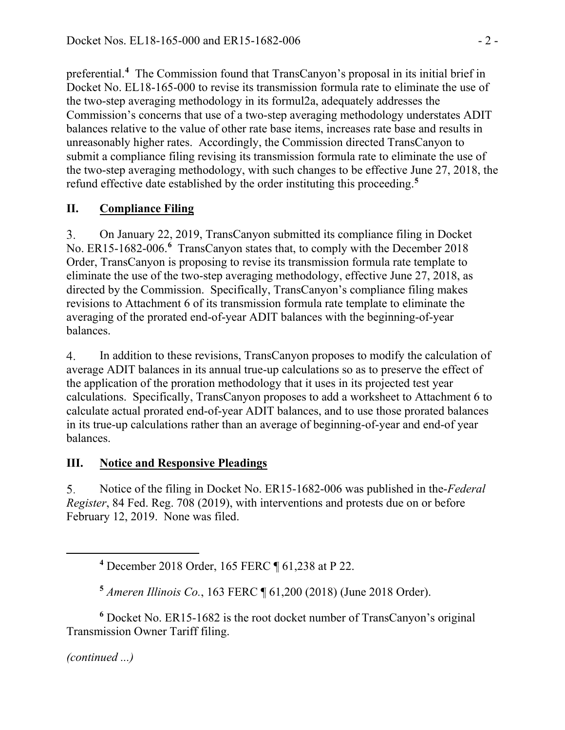preferential.**[4](#page-1-0)** The Commission found that TransCanyon's proposal in its initial brief in Docket No. EL18-165-000 to revise its transmission formula rate to eliminate the use of the two-step averaging methodology in its formul2a, adequately addresses the Commission's concerns that use of a two-step averaging methodology understates ADIT balances relative to the value of other rate base items, increases rate base and results in unreasonably higher rates. Accordingly, the Commission directed TransCanyon to submit a compliance filing revising its transmission formula rate to eliminate the use of the two-step averaging methodology, with such changes to be effective June 27, 2018, the refund effective date established by the order instituting this proceeding. **[5](#page-1-1)**

# **II. Compliance Filing**

On January 22, 2019, TransCanyon submitted its compliance filing in Docket 3. No. ER15-1[6](#page-1-2)82-006.<sup>6</sup> TransCanyon states that, to comply with the December 2018 Order, TransCanyon is proposing to revise its transmission formula rate template to eliminate the use of the two-step averaging methodology, effective June 27, 2018, as directed by the Commission. Specifically, TransCanyon's compliance filing makes revisions to Attachment 6 of its transmission formula rate template to eliminate the averaging of the prorated end-of-year ADIT balances with the beginning-of-year balances.

 $\overline{4}$ . In addition to these revisions, TransCanyon proposes to modify the calculation of average ADIT balances in its annual true-up calculations so as to preserve the effect of the application of the proration methodology that it uses in its projected test year calculations. Specifically, TransCanyon proposes to add a worksheet to Attachment 6 to calculate actual prorated end-of-year ADIT balances, and to use those prorated balances in its true-up calculations rather than an average of beginning-of-year and end-of year balances.

## **III. Notice and Responsive Pleadings**

Notice of the filing in Docket No. ER15-1682-006 was published in the-*Federal*   $5<sub>1</sub>$ *Register*, 84 Fed. Reg. 708 (2019), with interventions and protests due on or before February 12, 2019. None was filed.

<span id="page-1-2"></span><span id="page-1-1"></span>**<sup>6</sup>** Docket No. ER15-1682 is the root docket number of TransCanyon's original Transmission Owner Tariff filing.

*(continued ...)*

<span id="page-1-0"></span> $\overline{a}$ 

**<sup>4</sup>** December 2018 Order, 165 FERC ¶ 61,238 at P 22.

**<sup>5</sup>** *Ameren Illinois Co.*, 163 FERC ¶ 61,200 (2018) (June 2018 Order).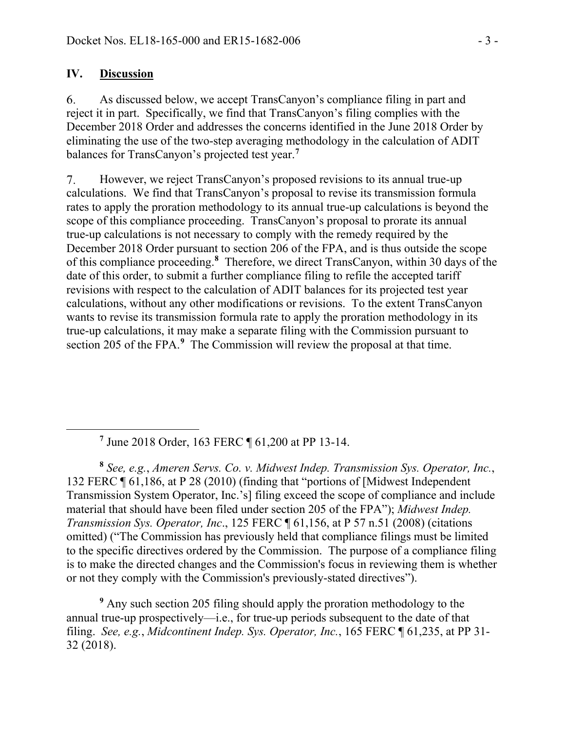### **IV. Discussion**

<span id="page-2-0"></span> $\overline{a}$ 

As discussed below, we accept TransCanyon's compliance filing in part and 6. reject it in part. Specifically, we find that TransCanyon's filing complies with the December 2018 Order and addresses the concerns identified in the June 2018 Order by eliminating the use of the two-step averaging methodology in the calculation of ADIT balances for TransCanyon's projected test year.**[7](#page-2-0)**

However, we reject TransCanyon's proposed revisions to its annual true-up  $7_{\cdot}$ calculations. We find that TransCanyon's proposal to revise its transmission formula rates to apply the proration methodology to its annual true-up calculations is beyond the scope of this compliance proceeding. TransCanyon's proposal to prorate its annual true-up calculations is not necessary to comply with the remedy required by the December 2018 Order pursuant to section 206 of the FPA, and is thus outside the scope of this compliance proceeding.**[8](#page-2-1)** Therefore, we direct TransCanyon, within 30 days of the date of this order, to submit a further compliance filing to refile the accepted tariff revisions with respect to the calculation of ADIT balances for its projected test year calculations, without any other modifications or revisions. To the extent TransCanyon wants to revise its transmission formula rate to apply the proration methodology in its true-up calculations, it may make a separate filing with the Commission pursuant to section 205 of the FPA.<sup>[9](#page-2-2)</sup> The Commission will review the proposal at that time.

**<sup>7</sup>** June 2018 Order, 163 FERC ¶ 61,200 at PP 13-14.

<span id="page-2-1"></span>**<sup>8</sup>** *See, e.g.*, *Ameren Servs. Co. v. Midwest Indep. Transmission Sys. Operator, Inc.*, 132 FERC ¶ 61,186, at P 28 (2010) (finding that "portions of [Midwest Independent Transmission System Operator, Inc.'s] filing exceed the scope of compliance and include material that should have been filed under section 205 of the FPA"); *[Midwest Indep.](http://www.westlaw.com/Link/Document/FullText?findType=Y&serNum=2017431897&pubNum=0000920&originatingDoc=I46be92ebef1e11e5a795ac035416da91&refType=CA&originationContext=document&vr=3.0&rs=cblt1.0&transitionType=DocumentItem&contextData=(sc.Search))  [Transmission Sys. Operator, Inc](http://www.westlaw.com/Link/Document/FullText?findType=Y&serNum=2017431897&pubNum=0000920&originatingDoc=I46be92ebef1e11e5a795ac035416da91&refType=CA&originationContext=document&vr=3.0&rs=cblt1.0&transitionType=DocumentItem&contextData=(sc.Search))*., 125 FERC ¶ 61,156, at P 57 n.51 (2008) (citations omitted) ("The Commission has previously held that compliance filings must be limited to the specific directives ordered by the Commission. The purpose of a compliance filing is to make the directed changes and the Commission's focus in reviewing them is whether or not they comply with the Commission's previously-stated directives").

<span id="page-2-2"></span>**<sup>9</sup>** Any such section 205 filing should apply the proration methodology to the annual true-up prospectively—i.e., for true-up periods subsequent to the date of that filing. *See, e.g.*, *Midcontinent Indep. Sys. Operator, Inc.*, 165 FERC ¶ 61,235, at PP 31- 32 (2018).